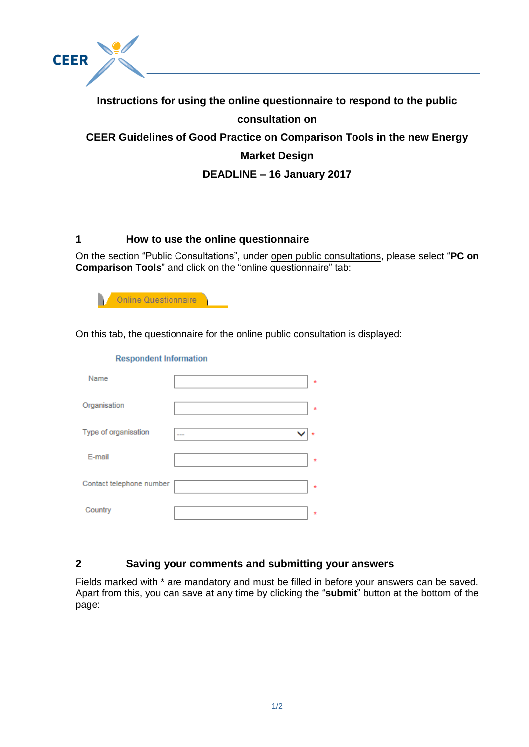

# **Instructions for using the online questionnaire to respond to the public consultation on CEER Guidelines of Good Practice on Comparison Tools in the new Energy Market Design DEADLINE – 16 January 2017**

## **1 How to use the online questionnaire**

On the section "Public Consultations", under open public consultations, please select "**PC on Comparison Tools**" and click on the "online questionnaire" tab:

Online Questionnaire

On this tab, the questionnaire for the online public consultation is displayed:

| <b>Respondent Information</b> |       |
|-------------------------------|-------|
| Name                          | ÷     |
| Organisation                  | ÷     |
| Type of organisation          |       |
| E-mail                        | ÷     |
| Contact telephone number      | $\pm$ |
| Country                       | ÷     |

#### **2 Saving your comments and submitting your answers**

Fields marked with \* are mandatory and must be filled in before your answers can be saved. Apart from this, you can save at any time by clicking the "**submit**" button at the bottom of the page: